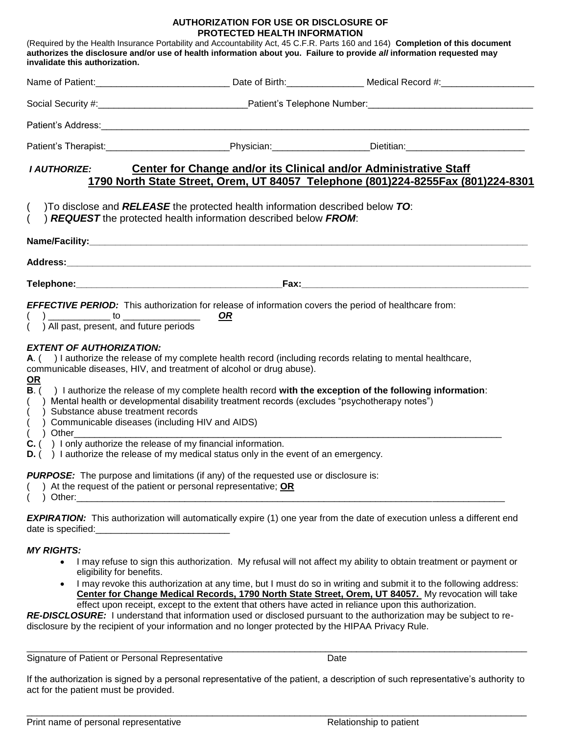## **AUTHORIZATION FOR USE OR DISCLOSURE OF PROTECTED HEALTH INFORMATION**

| invalidate this authorization.                                                                                                                                                                                                                                                                                                                        |                                                                                                                                                                                                                                                                                                                                                                                                                                                                                                                                                                                                        | (Required by the Health Insurance Portability and Accountability Act, 45 C.F.R. Parts 160 and 164) Completion of this document<br>authorizes the disclosure and/or use of health information about you. Failure to provide all information requested may |
|-------------------------------------------------------------------------------------------------------------------------------------------------------------------------------------------------------------------------------------------------------------------------------------------------------------------------------------------------------|--------------------------------------------------------------------------------------------------------------------------------------------------------------------------------------------------------------------------------------------------------------------------------------------------------------------------------------------------------------------------------------------------------------------------------------------------------------------------------------------------------------------------------------------------------------------------------------------------------|----------------------------------------------------------------------------------------------------------------------------------------------------------------------------------------------------------------------------------------------------------|
|                                                                                                                                                                                                                                                                                                                                                       |                                                                                                                                                                                                                                                                                                                                                                                                                                                                                                                                                                                                        |                                                                                                                                                                                                                                                          |
|                                                                                                                                                                                                                                                                                                                                                       |                                                                                                                                                                                                                                                                                                                                                                                                                                                                                                                                                                                                        |                                                                                                                                                                                                                                                          |
|                                                                                                                                                                                                                                                                                                                                                       |                                                                                                                                                                                                                                                                                                                                                                                                                                                                                                                                                                                                        |                                                                                                                                                                                                                                                          |
|                                                                                                                                                                                                                                                                                                                                                       |                                                                                                                                                                                                                                                                                                                                                                                                                                                                                                                                                                                                        | Patient's Therapist: ______________________________Physician: __________________Dietitian: ___________________                                                                                                                                           |
| I AUTHORIZE:<br>$\left($                                                                                                                                                                                                                                                                                                                              | Center for Change and/or its Clinical and/or Administrative Staff<br>)To disclose and RELEASE the protected health information described below TO:                                                                                                                                                                                                                                                                                                                                                                                                                                                     | 1790 North State Street, Orem, UT 84057 Telephone (801)224-8255Fax (801)224-8301                                                                                                                                                                         |
|                                                                                                                                                                                                                                                                                                                                                       | ) REQUEST the protected health information described below FROM:                                                                                                                                                                                                                                                                                                                                                                                                                                                                                                                                       |                                                                                                                                                                                                                                                          |
|                                                                                                                                                                                                                                                                                                                                                       |                                                                                                                                                                                                                                                                                                                                                                                                                                                                                                                                                                                                        |                                                                                                                                                                                                                                                          |
|                                                                                                                                                                                                                                                                                                                                                       |                                                                                                                                                                                                                                                                                                                                                                                                                                                                                                                                                                                                        |                                                                                                                                                                                                                                                          |
| () All past, present, and future periods<br><b>EXTENT OF AUTHORIZATION:</b><br><u>OR</u><br>$B.$ (<br>() Substance abuse treatment records<br>() Communicable diseases (including HIV and AIDS)<br>$( )$ Other<br>$C.$ () I only authorize the release of my financial information.<br>) At the request of the patient or personal representative; OR | EFFECTIVE PERIOD: This authorization for release of information covers the period of healthcare from:<br><u>OR</u><br>A. () I authorize the release of my complete health record (including records relating to mental healthcare,<br>communicable diseases, HIV, and treatment of alcohol or drug abuse).<br>() Mental health or developmental disability treatment records (excludes "psychotherapy notes")<br>$D.$ () Lauthorize the release of my medical status only in the event of an emergency.<br><b>PURPOSE:</b> The purpose and limitations (if any) of the requested use or disclosure is: | ) I authorize the release of my complete health record with the exception of the following information:                                                                                                                                                  |
| date is specified:                                                                                                                                                                                                                                                                                                                                    |                                                                                                                                                                                                                                                                                                                                                                                                                                                                                                                                                                                                        | <b>EXPIRATION:</b> This authorization will automatically expire (1) one year from the date of execution unless a different end                                                                                                                           |

## *MY RIGHTS:*

- I may refuse to sign this authorization. My refusal will not affect my ability to obtain treatment or payment or eligibility for benefits.
- I may revoke this authorization at any time, but I must do so in writing and submit it to the following address: **Center for Change Medical Records, 1790 North State Street, Orem, UT 84057.** My revocation will take effect upon receipt, except to the extent that others have acted in reliance upon this authorization.

*RE-DISCLOSURE:* I understand that information used or disclosed pursuant to the authorization may be subject to redisclosure by the recipient of your information and no longer protected by the HIPAA Privacy Rule.

Signature of Patient or Personal Representative Date

If the authorization is signed by a personal representative of the patient, a description of such representative's authority to act for the patient must be provided.

 $\_$  ,  $\_$  ,  $\_$  ,  $\_$  ,  $\_$  ,  $\_$  ,  $\_$  ,  $\_$  ,  $\_$  ,  $\_$  ,  $\_$  ,  $\_$  ,  $\_$  ,  $\_$  ,  $\_$  ,  $\_$  ,  $\_$  ,  $\_$  ,  $\_$  ,  $\_$  ,  $\_$  ,  $\_$  ,  $\_$  ,  $\_$  ,  $\_$  ,  $\_$  ,  $\_$  ,  $\_$  ,  $\_$  ,  $\_$  ,  $\_$  ,  $\_$  ,  $\_$  ,  $\_$  ,  $\_$  ,  $\_$  ,  $\_$  ,

 $\_$  ,  $\_$  ,  $\_$  ,  $\_$  ,  $\_$  ,  $\_$  ,  $\_$  ,  $\_$  ,  $\_$  ,  $\_$  ,  $\_$  ,  $\_$  ,  $\_$  ,  $\_$  ,  $\_$  ,  $\_$  ,  $\_$  ,  $\_$  ,  $\_$  ,  $\_$  ,  $\_$  ,  $\_$  ,  $\_$  ,  $\_$  ,  $\_$  ,  $\_$  ,  $\_$  ,  $\_$  ,  $\_$  ,  $\_$  ,  $\_$  ,  $\_$  ,  $\_$  ,  $\_$  ,  $\_$  ,  $\_$  ,  $\_$  ,